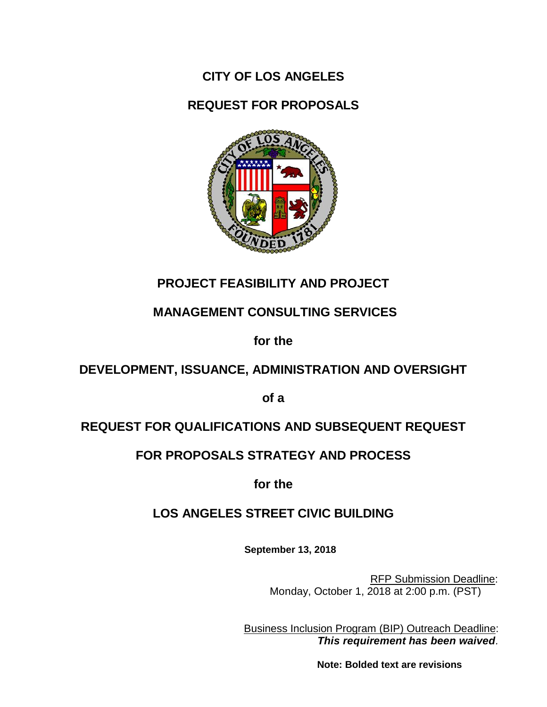**CITY OF LOS ANGELES** 

**REQUEST FOR PROPOSALS**



# **PROJECT FEASIBILITY AND PROJECT**

# **MANAGEMENT CONSULTING SERVICES**

**for the**

# **DEVELOPMENT, ISSUANCE, ADMINISTRATION AND OVERSIGHT**

**of a**

# **REQUEST FOR QUALIFICATIONS AND SUBSEQUENT REQUEST**

## **FOR PROPOSALS STRATEGY AND PROCESS**

**for the** 

# **LOS ANGELES STREET CIVIC BUILDING**

**September 13, 2018**

RFP Submission Deadline: Monday, October 1, 2018 at 2:00 p.m. (PST)

Business Inclusion Program (BIP) Outreach Deadline: *This requirement has been waived.*

 **Note: Bolded text are revisions**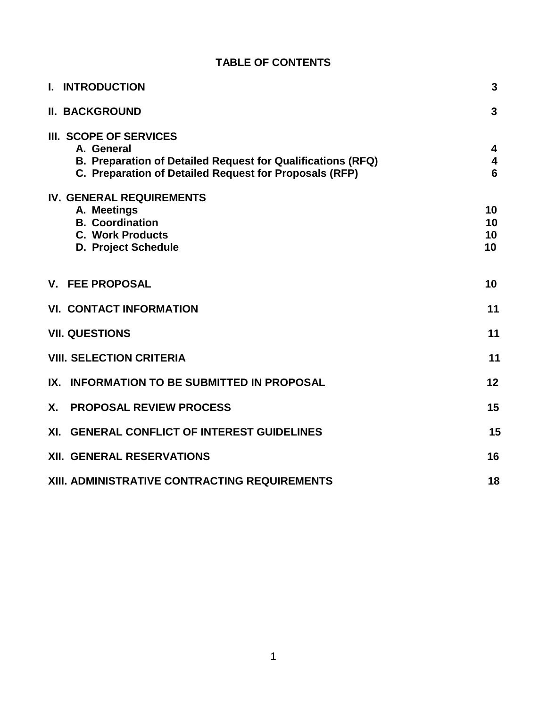| <b>TABLE OF CONTENTS</b>                                                                                                                                      |                      |
|---------------------------------------------------------------------------------------------------------------------------------------------------------------|----------------------|
| <b>I. INTRODUCTION</b>                                                                                                                                        | 3                    |
| <b>II. BACKGROUND</b>                                                                                                                                         | 3                    |
| III. SCOPE OF SERVICES<br>A. General<br>B. Preparation of Detailed Request for Qualifications (RFQ)<br>C. Preparation of Detailed Request for Proposals (RFP) | 4<br>4<br>6          |
| <b>IV. GENERAL REQUIREMENTS</b><br>A. Meetings<br><b>B.</b> Coordination<br><b>C. Work Products</b><br>D. Project Schedule                                    | 10<br>10<br>10<br>10 |
| <b>V. FEE PROPOSAL</b>                                                                                                                                        | 10                   |
| <b>VI. CONTACT INFORMATION</b>                                                                                                                                | 11                   |
| <b>VII. QUESTIONS</b>                                                                                                                                         | 11                   |
| <b>VIII. SELECTION CRITERIA</b>                                                                                                                               | 11                   |
| <b>INFORMATION TO BE SUBMITTED IN PROPOSAL</b><br>IX.                                                                                                         | 12                   |
| <b>X</b> .<br><b>PROPOSAL REVIEW PROCESS</b>                                                                                                                  | 15                   |
| XI. GENERAL CONFLICT OF INTEREST GUIDELINES                                                                                                                   | 15                   |
| <b>XII. GENERAL RESERVATIONS</b>                                                                                                                              | 16                   |
| XIII. ADMINISTRATIVE CONTRACTING REQUIREMENTS                                                                                                                 | 18                   |

### 1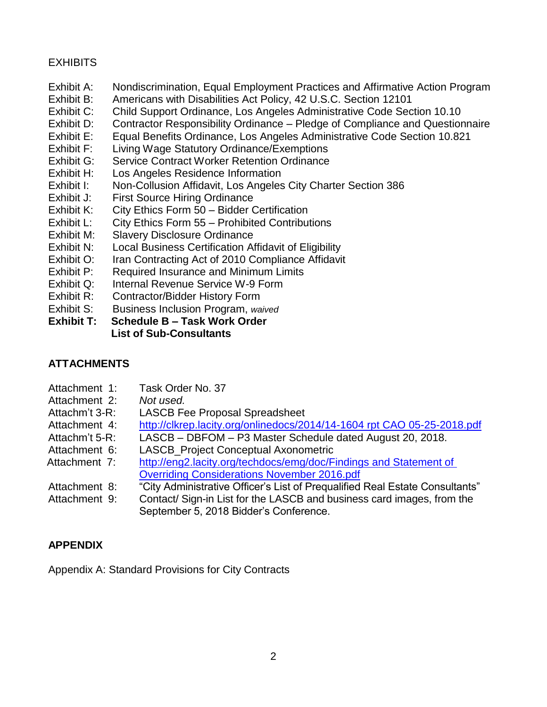### **EXHIBITS**

- Exhibit A: Nondiscrimination, Equal Employment Practices and Affirmative Action Program
- Exhibit B: Americans with Disabilities Act Policy, 42 U.S.C. Section 12101
- Exhibit C: Child Support Ordinance, Los Angeles Administrative Code Section 10.10
- Exhibit D: Contractor Responsibility Ordinance Pledge of Compliance and Questionnaire
- Exhibit E: Equal Benefits Ordinance, Los Angeles Administrative Code Section 10.821
- Exhibit F: Living Wage Statutory Ordinance/Exemptions
- Exhibit G: Service Contract Worker Retention Ordinance
- Exhibit H: Los Angeles Residence Information
- Exhibit I: Non-Collusion Affidavit, Los Angeles City Charter Section 386
- Exhibit J: First Source Hiring Ordinance
- Exhibit K: City Ethics Form 50 Bidder Certification
- Exhibit L: City Ethics Form 55 Prohibited Contributions
- Exhibit M: Slavery Disclosure Ordinance
- Exhibit N: Local Business Certification Affidavit of Eligibility
- Exhibit O: Iran Contracting Act of 2010 Compliance Affidavit
- Exhibit P: Required Insurance and Minimum Limits
- Exhibit Q: Internal Revenue Service W-9 Form
- Exhibit R: Contractor/Bidder History Form
- Exhibit S: Business Inclusion Program, *waived*

**Exhibit T: Schedule B – Task Work Order List of Sub-Consultants**

### **ATTACHMENTS**

- Attachment 1: Task Order No. 37
- Attachment 2: *Not used.*
- Attachm't 3-R: LASCB Fee Proposal Spreadsheet
- Attachment 4: [http://clkrep.lacity.org/onlinedocs/2014/14-1604 rpt CAO 05-25-2018.pdf](http://clkrep.lacity.org/onlinedocs/2014/14-1604%20rpt%20CAO%2005-25-2018.pdf)
- Attachm't 5-R: LASCB DBFOM P3 Master Schedule dated August 20, 2018.
- Attachment 6: LASCB Project Conceptual Axonometric
- Attachment 7: [http://eng2.lacity.org/techdocs/emg/doc/Findings and Statement of](http://eng2.lacity.org/techdocs/emg/doc/Findings%20and%20Statement%20of%20Overriding%20Considerations%20November%202016.pdf)  [Overriding Considerations November 2016.pdf](http://eng2.lacity.org/techdocs/emg/doc/Findings%20and%20Statement%20of%20Overriding%20Considerations%20November%202016.pdf)
- Attachment 8: "City Administrative Officer's List of Prequalified Real Estate Consultants"
- Attachment 9: Contact/ Sign-in List for the LASCB and business card images, from the September 5, 2018 Bidder's Conference.

### **APPENDIX**

Appendix A: Standard Provisions for City Contracts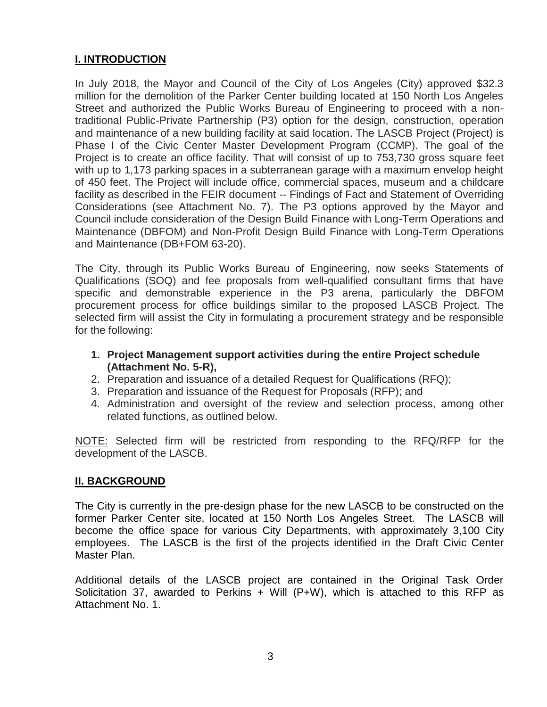### **I. INTRODUCTION**

In July 2018, the Mayor and Council of the City of Los Angeles (City) approved \$32.3 million for the demolition of the Parker Center building located at 150 North Los Angeles Street and authorized the Public Works Bureau of Engineering to proceed with a nontraditional Public-Private Partnership (P3) option for the design, construction, operation and maintenance of a new building facility at said location. The LASCB Project (Project) is Phase I of the Civic Center Master Development Program (CCMP). The goal of the Project is to create an office facility. That will consist of up to 753,730 gross square feet with up to 1,173 parking spaces in a subterranean garage with a maximum envelop height of 450 feet. The Project will include office, commercial spaces, museum and a childcare facility as described in the FEIR document -- Findings of Fact and Statement of Overriding Considerations (see Attachment No. 7). The P3 options approved by the Mayor and Council include consideration of the Design Build Finance with Long-Term Operations and Maintenance (DBFOM) and Non-Profit Design Build Finance with Long-Term Operations and Maintenance (DB+FOM 63-20).

The City, through its Public Works Bureau of Engineering, now seeks Statements of Qualifications (SOQ) and fee proposals from well-qualified consultant firms that have specific and demonstrable experience in the P3 arena, particularly the DBFOM procurement process for office buildings similar to the proposed LASCB Project. The selected firm will assist the City in formulating a procurement strategy and be responsible for the following:

- **1. Project Management support activities during the entire Project schedule (Attachment No. 5-R),**
- 2. Preparation and issuance of a detailed Request for Qualifications (RFQ);
- 3. Preparation and issuance of the Request for Proposals (RFP); and
- 4. Administration and oversight of the review and selection process, among other related functions, as outlined below.

NOTE: Selected firm will be restricted from responding to the RFQ/RFP for the development of the LASCB.

#### **II. BACKGROUND**

The City is currently in the pre-design phase for the new LASCB to be constructed on the former Parker Center site, located at 150 North Los Angeles Street. The LASCB will become the office space for various City Departments, with approximately 3,100 City employees. The LASCB is the first of the projects identified in the Draft Civic Center Master Plan.

Additional details of the LASCB project are contained in the Original Task Order Solicitation 37, awarded to Perkins  $+$  Will (P $+$ W), which is attached to this RFP as Attachment No. 1.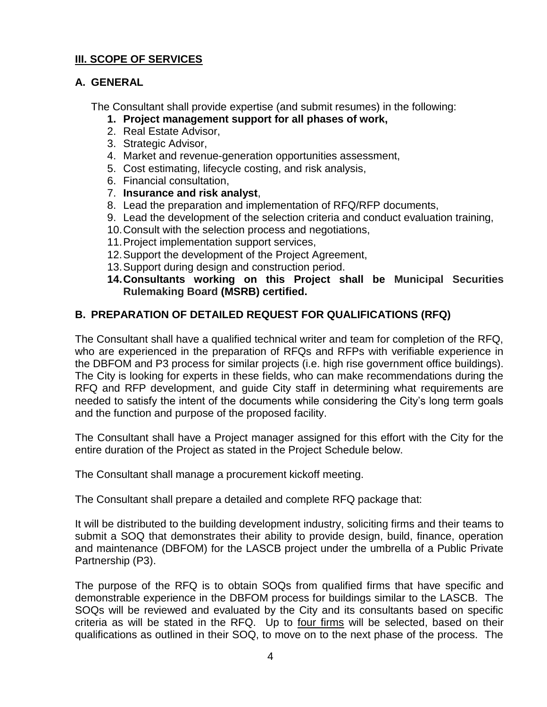### **III. SCOPE OF SERVICES**

#### **A. GENERAL**

The Consultant shall provide expertise (and submit resumes) in the following:

#### **1. Project management support for all phases of work,**

- 2. Real Estate Advisor,
- 3. Strategic Advisor,
- 4. Market and revenue-generation opportunities assessment,
- 5. Cost estimating, lifecycle costing, and risk analysis,
- 6. Financial consultation,
- 7. **Insurance and risk analyst**,
- 8. Lead the preparation and implementation of RFQ/RFP documents,
- 9. Lead the development of the selection criteria and conduct evaluation training,
- 10.Consult with the selection process and negotiations,
- 11.Project implementation support services,
- 12.Support the development of the Project Agreement,
- 13.Support during design and construction period.
- **14.Consultants working on this Project shall be Municipal Securities Rulemaking Board (MSRB) certified.**

### **B. PREPARATION OF DETAILED REQUEST FOR QUALIFICATIONS (RFQ)**

The Consultant shall have a qualified technical writer and team for completion of the RFQ, who are experienced in the preparation of RFQs and RFPs with verifiable experience in the DBFOM and P3 process for similar projects (i.e. high rise government office buildings). The City is looking for experts in these fields, who can make recommendations during the RFQ and RFP development, and guide City staff in determining what requirements are needed to satisfy the intent of the documents while considering the City's long term goals and the function and purpose of the proposed facility.

The Consultant shall have a Project manager assigned for this effort with the City for the entire duration of the Project as stated in the Project Schedule below.

The Consultant shall manage a procurement kickoff meeting.

The Consultant shall prepare a detailed and complete RFQ package that:

It will be distributed to the building development industry, soliciting firms and their teams to submit a SOQ that demonstrates their ability to provide design, build, finance, operation and maintenance (DBFOM) for the LASCB project under the umbrella of a Public Private Partnership (P3).

The purpose of the RFQ is to obtain SOQs from qualified firms that have specific and demonstrable experience in the DBFOM process for buildings similar to the LASCB. The SOQs will be reviewed and evaluated by the City and its consultants based on specific criteria as will be stated in the RFQ. Up to four firms will be selected, based on their qualifications as outlined in their SOQ, to move on to the next phase of the process. The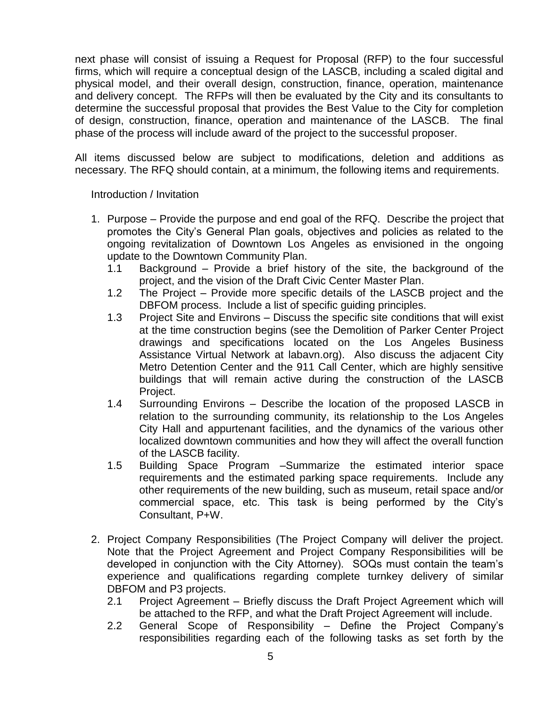next phase will consist of issuing a Request for Proposal (RFP) to the four successful firms, which will require a conceptual design of the LASCB, including a scaled digital and physical model, and their overall design, construction, finance, operation, maintenance and delivery concept. The RFPs will then be evaluated by the City and its consultants to determine the successful proposal that provides the Best Value to the City for completion of design, construction, finance, operation and maintenance of the LASCB. The final phase of the process will include award of the project to the successful proposer.

All items discussed below are subject to modifications, deletion and additions as necessary. The RFQ should contain, at a minimum, the following items and requirements.

Introduction / Invitation

- 1. Purpose Provide the purpose and end goal of the RFQ. Describe the project that promotes the City's General Plan goals, objectives and policies as related to the ongoing revitalization of Downtown Los Angeles as envisioned in the ongoing update to the Downtown Community Plan.
	- 1.1 Background Provide a brief history of the site, the background of the project, and the vision of the Draft Civic Center Master Plan.
	- 1.2 The Project Provide more specific details of the LASCB project and the DBFOM process. Include a list of specific guiding principles.
	- 1.3 Project Site and Environs Discuss the specific site conditions that will exist at the time construction begins (see the Demolition of Parker Center Project drawings and specifications located on the Los Angeles Business Assistance Virtual Network at labavn.org). Also discuss the adjacent City Metro Detention Center and the 911 Call Center, which are highly sensitive buildings that will remain active during the construction of the LASCB Project.
	- 1.4 Surrounding Environs Describe the location of the proposed LASCB in relation to the surrounding community, its relationship to the Los Angeles City Hall and appurtenant facilities, and the dynamics of the various other localized downtown communities and how they will affect the overall function of the LASCB facility.
	- 1.5 Building Space Program –Summarize the estimated interior space requirements and the estimated parking space requirements. Include any other requirements of the new building, such as museum, retail space and/or commercial space, etc. This task is being performed by the City's Consultant, P+W.
- 2. Project Company Responsibilities (The Project Company will deliver the project. Note that the Project Agreement and Project Company Responsibilities will be developed in conjunction with the City Attorney). SOQs must contain the team's experience and qualifications regarding complete turnkey delivery of similar DBFOM and P3 projects.
	- 2.1 Project Agreement Briefly discuss the Draft Project Agreement which will be attached to the RFP, and what the Draft Project Agreement will include.
	- 2.2 General Scope of Responsibility Define the Project Company's responsibilities regarding each of the following tasks as set forth by the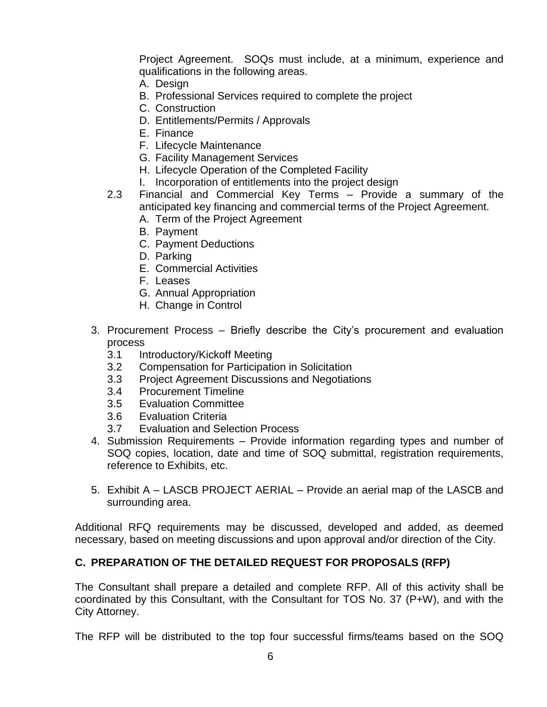Project Agreement. SOQs must include, at a minimum, experience and qualifications in the following areas.

- A. Design
- B. Professional Services required to complete the project
- C. Construction
- D. Entitlements/Permits / Approvals
- E. Finance
- F. Lifecycle Maintenance
- G. Facility Management Services
- H. Lifecycle Operation of the Completed Facility
- I. Incorporation of entitlements into the project design
- 2.3 Financial and Commercial Key Terms Provide a summary of the anticipated key financing and commercial terms of the Project Agreement.
	- A. Term of the Project Agreement
	- B. Payment
	- C. Payment Deductions
	- D. Parking
	- E. Commercial Activities
	- F. Leases
	- G. Annual Appropriation
	- H. Change in Control
- 3. Procurement Process Briefly describe the City's procurement and evaluation process
	- 3.1 Introductory/Kickoff Meeting
	- 3.2 Compensation for Participation in Solicitation
	- 3.3 Project Agreement Discussions and Negotiations
	- 3.4 Procurement Timeline
	- 3.5 Evaluation Committee
	- 3.6 Evaluation Criteria
	- 3.7 Evaluation and Selection Process
- 4. Submission Requirements Provide information regarding types and number of SOQ copies, location, date and time of SOQ submittal, registration requirements, reference to Exhibits, etc.
- 5. Exhibit A LASCB PROJECT AERIAL Provide an aerial map of the LASCB and surrounding area.

Additional RFQ requirements may be discussed, developed and added, as deemed necessary, based on meeting discussions and upon approval and/or direction of the City.

#### **C. PREPARATION OF THE DETAILED REQUEST FOR PROPOSALS (RFP)**

The Consultant shall prepare a detailed and complete RFP. All of this activity shall be coordinated by this Consultant, with the Consultant for TOS No. 37 (P+W), and with the City Attorney.

The RFP will be distributed to the top four successful firms/teams based on the SOQ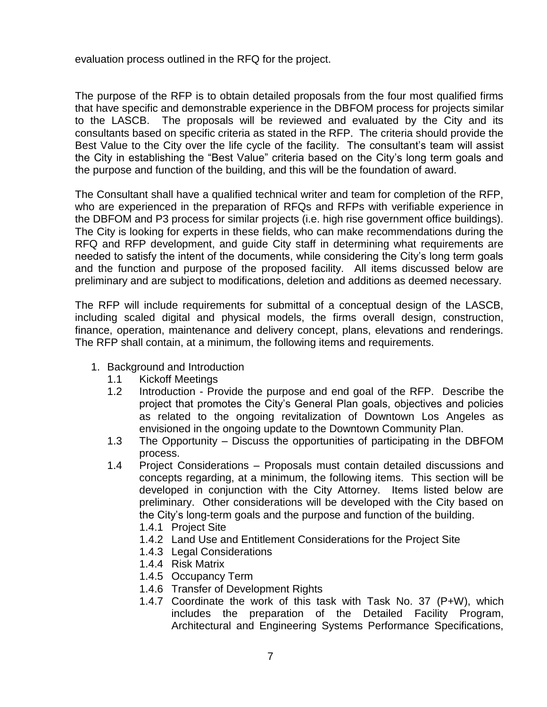evaluation process outlined in the RFQ for the project.

The purpose of the RFP is to obtain detailed proposals from the four most qualified firms that have specific and demonstrable experience in the DBFOM process for projects similar to the LASCB. The proposals will be reviewed and evaluated by the City and its consultants based on specific criteria as stated in the RFP. The criteria should provide the Best Value to the City over the life cycle of the facility. The consultant's team will assist the City in establishing the "Best Value" criteria based on the City's long term goals and the purpose and function of the building, and this will be the foundation of award.

The Consultant shall have a qualified technical writer and team for completion of the RFP, who are experienced in the preparation of RFQs and RFPs with verifiable experience in the DBFOM and P3 process for similar projects (i.e. high rise government office buildings). The City is looking for experts in these fields, who can make recommendations during the RFQ and RFP development, and guide City staff in determining what requirements are needed to satisfy the intent of the documents, while considering the City's long term goals and the function and purpose of the proposed facility. All items discussed below are preliminary and are subject to modifications, deletion and additions as deemed necessary.

The RFP will include requirements for submittal of a conceptual design of the LASCB, including scaled digital and physical models, the firms overall design, construction, finance, operation, maintenance and delivery concept, plans, elevations and renderings. The RFP shall contain, at a minimum, the following items and requirements.

- 1. Background and Introduction
	- 1.1 Kickoff Meetings
	- 1.2 Introduction Provide the purpose and end goal of the RFP. Describe the project that promotes the City's General Plan goals, objectives and policies as related to the ongoing revitalization of Downtown Los Angeles as envisioned in the ongoing update to the Downtown Community Plan.
	- 1.3 The Opportunity Discuss the opportunities of participating in the DBFOM process.
	- 1.4 Project Considerations Proposals must contain detailed discussions and concepts regarding, at a minimum, the following items. This section will be developed in conjunction with the City Attorney. Items listed below are preliminary. Other considerations will be developed with the City based on the City's long-term goals and the purpose and function of the building.
		- 1.4.1 Project Site
		- 1.4.2 Land Use and Entitlement Considerations for the Project Site
		- 1.4.3 Legal Considerations
		- 1.4.4 Risk Matrix
		- 1.4.5 Occupancy Term
		- 1.4.6 Transfer of Development Rights
		- 1.4.7 Coordinate the work of this task with Task No. 37 (P+W), which includes the preparation of the Detailed Facility Program, Architectural and Engineering Systems Performance Specifications,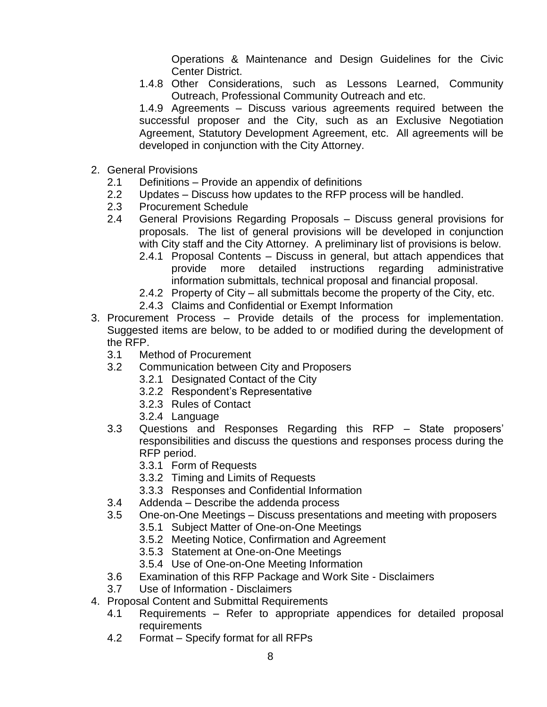Operations & Maintenance and Design Guidelines for the Civic Center District.

1.4.8 Other Considerations, such as Lessons Learned, Community Outreach, Professional Community Outreach and etc.

1.4.9 Agreements – Discuss various agreements required between the successful proposer and the City, such as an Exclusive Negotiation Agreement, Statutory Development Agreement, etc. All agreements will be developed in conjunction with the City Attorney.

- 2. General Provisions
	- 2.1 Definitions Provide an appendix of definitions
	- 2.2 Updates Discuss how updates to the RFP process will be handled.
	- 2.3 Procurement Schedule
	- 2.4 General Provisions Regarding Proposals Discuss general provisions for proposals. The list of general provisions will be developed in conjunction with City staff and the City Attorney. A preliminary list of provisions is below.
		- 2.4.1 Proposal Contents Discuss in general, but attach appendices that provide more detailed instructions regarding administrative information submittals, technical proposal and financial proposal.
		- 2.4.2 Property of City all submittals become the property of the City, etc.
		- 2.4.3 Claims and Confidential or Exempt Information
- 3. Procurement Process Provide details of the process for implementation. Suggested items are below, to be added to or modified during the development of the RFP.
	- 3.1 Method of Procurement
	- 3.2 Communication between City and Proposers
		- 3.2.1 Designated Contact of the City
		- 3.2.2 Respondent's Representative
		- 3.2.3 Rules of Contact
		- 3.2.4 Language
	- 3.3 Questions and Responses Regarding this RFP State proposers' responsibilities and discuss the questions and responses process during the RFP period.
		- 3.3.1 Form of Requests
		- 3.3.2 Timing and Limits of Requests
		- 3.3.3 Responses and Confidential Information
	- 3.4 Addenda Describe the addenda process
	- 3.5 One-on-One Meetings Discuss presentations and meeting with proposers
		- 3.5.1 Subject Matter of One-on-One Meetings
		- 3.5.2 Meeting Notice, Confirmation and Agreement
		- 3.5.3 Statement at One-on-One Meetings
		- 3.5.4 Use of One-on-One Meeting Information
	- 3.6 Examination of this RFP Package and Work Site Disclaimers
	- 3.7 Use of Information Disclaimers
- 4. Proposal Content and Submittal Requirements
	- 4.1 Requirements Refer to appropriate appendices for detailed proposal requirements
	- 4.2 Format Specify format for all RFPs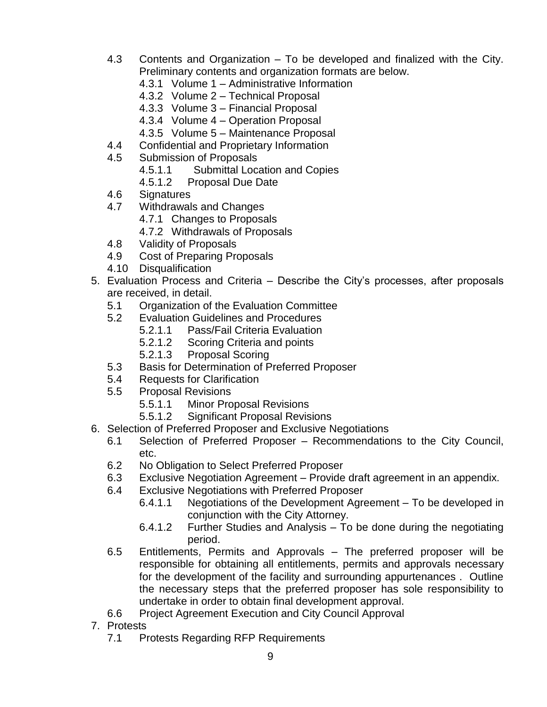- 4.3 Contents and Organization To be developed and finalized with the City. Preliminary contents and organization formats are below.
	- 4.3.1 Volume 1 Administrative Information
	- 4.3.2 Volume 2 Technical Proposal
	- 4.3.3 Volume 3 Financial Proposal
	- 4.3.4 Volume 4 Operation Proposal
	- 4.3.5 Volume 5 Maintenance Proposal
- 4.4 Confidential and Proprietary Information
- 4.5 Submission of Proposals
	- 4.5.1.1 Submittal Location and Copies
	- 4.5.1.2 Proposal Due Date
- 4.6 Signatures
- 4.7 Withdrawals and Changes
	- 4.7.1 Changes to Proposals
	- 4.7.2 Withdrawals of Proposals
- 4.8 Validity of Proposals
- 4.9 Cost of Preparing Proposals
- 4.10 Disqualification
- 5. Evaluation Process and Criteria Describe the City's processes, after proposals are received, in detail.
	- 5.1 Organization of the Evaluation Committee
	- 5.2 Evaluation Guidelines and Procedures
		- 5.2.1.1 Pass/Fail Criteria Evaluation
		- 5.2.1.2 Scoring Criteria and points
		- 5.2.1.3 Proposal Scoring
	- 5.3 Basis for Determination of Preferred Proposer
	- 5.4 Requests for Clarification
	- 5.5 Proposal Revisions
		- 5.5.1.1 Minor Proposal Revisions
		- 5.5.1.2 Significant Proposal Revisions
- 6. Selection of Preferred Proposer and Exclusive Negotiations
	- 6.1 Selection of Preferred Proposer Recommendations to the City Council, etc.
	- 6.2 No Obligation to Select Preferred Proposer
	- 6.3 Exclusive Negotiation Agreement Provide draft agreement in an appendix.
	- 6.4 Exclusive Negotiations with Preferred Proposer
		- 6.4.1.1 Negotiations of the Development Agreement To be developed in conjunction with the City Attorney.
		- 6.4.1.2 Further Studies and Analysis To be done during the negotiating period.
	- 6.5 Entitlements, Permits and Approvals The preferred proposer will be responsible for obtaining all entitlements, permits and approvals necessary for the development of the facility and surrounding appurtenances . Outline the necessary steps that the preferred proposer has sole responsibility to undertake in order to obtain final development approval.
	- 6.6 Project Agreement Execution and City Council Approval
- 7. Protests
	- 7.1 Protests Regarding RFP Requirements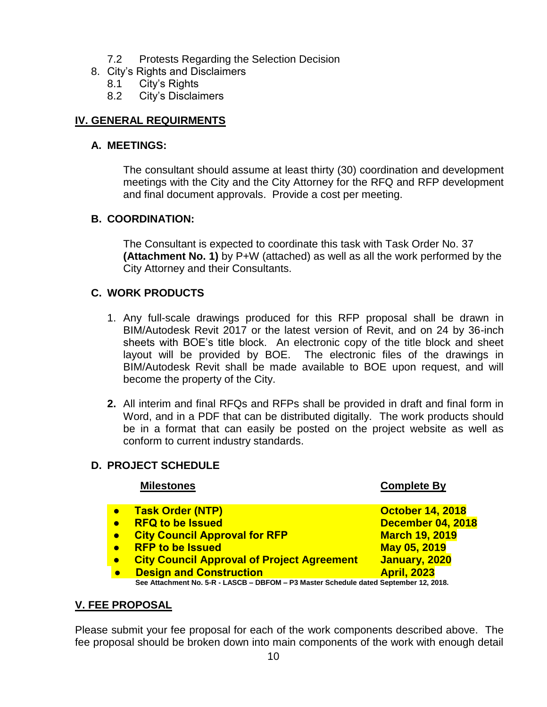- 7.2 Protests Regarding the Selection Decision
- 8. City's Rights and Disclaimers
	- 8.1 City's Rights
	- 8.2 City's Disclaimers

### **IV. GENERAL REQUIRMENTS**

#### **A. MEETINGS:**

The consultant should assume at least thirty (30) coordination and development meetings with the City and the City Attorney for the RFQ and RFP development and final document approvals. Provide a cost per meeting.

#### **B. COORDINATION:**

The Consultant is expected to coordinate this task with Task Order No. 37 **(Attachment No. 1)** by P+W (attached) as well as all the work performed by the City Attorney and their Consultants.

#### **C. WORK PRODUCTS**

- 1. Any full-scale drawings produced for this RFP proposal shall be drawn in BIM/Autodesk Revit 2017 or the latest version of Revit, and on 24 by 36-inch sheets with BOE's title block. An electronic copy of the title block and sheet layout will be provided by BOE. The electronic files of the drawings in BIM/Autodesk Revit shall be made available to BOE upon request, and will become the property of the City.
- **2.** All interim and final RFQs and RFPs shall be provided in draft and final form in Word, and in a PDF that can be distributed digitally. The work products should be in a format that can easily be posted on the project website as well as conform to current industry standards.

### **D. PROJECT SCHEDULE**

| <b>Milestones</b>                                                                                                                                                                                            | <b>Complete By</b>                                                                                                           |
|--------------------------------------------------------------------------------------------------------------------------------------------------------------------------------------------------------------|------------------------------------------------------------------------------------------------------------------------------|
| <b>Task Order (NTP)</b><br><b>RFQ to be Issued</b><br><b>City Council Approval for RFP</b><br><b>RFP to be Issued</b><br><b>City Council Approval of Project Agreement</b><br><b>Design and Construction</b> | <b>October 14, 2018</b><br>December 04, 2018<br><b>March 19, 2019</b><br>May 05, 2019<br>January, 2020<br><b>April, 2023</b> |
| See Attachment No. 5-R - LASCB - DBFOM - P3 Master Schedule dated September 12, 2018.                                                                                                                        |                                                                                                                              |

#### **V. FEE PROPOSAL**

Please submit your fee proposal for each of the work components described above. The fee proposal should be broken down into main components of the work with enough detail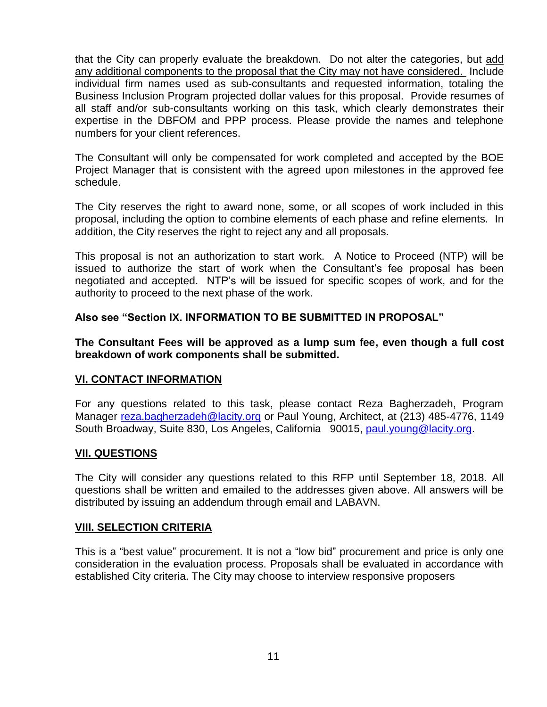that the City can properly evaluate the breakdown. Do not alter the categories, but add any additional components to the proposal that the City may not have considered. Include individual firm names used as sub-consultants and requested information, totaling the Business Inclusion Program projected dollar values for this proposal. Provide resumes of all staff and/or sub-consultants working on this task, which clearly demonstrates their expertise in the DBFOM and PPP process. Please provide the names and telephone numbers for your client references.

The Consultant will only be compensated for work completed and accepted by the BOE Project Manager that is consistent with the agreed upon milestones in the approved fee schedule.

The City reserves the right to award none, some, or all scopes of work included in this proposal, including the option to combine elements of each phase and refine elements. In addition, the City reserves the right to reject any and all proposals.

This proposal is not an authorization to start work. A Notice to Proceed (NTP) will be issued to authorize the start of work when the Consultant's fee proposal has been negotiated and accepted. NTP's will be issued for specific scopes of work, and for the authority to proceed to the next phase of the work.

#### **Also see "Section IX. INFORMATION TO BE SUBMITTED IN PROPOSAL"**

**The Consultant Fees will be approved as a lump sum fee, even though a full cost breakdown of work components shall be submitted.**

#### **VI. CONTACT INFORMATION**

For any questions related to this task, please contact Reza Bagherzadeh, Program Manager [reza.bagherzadeh@lacity.org](mailto:reza.bagherzadeh@lacity.org) or Paul Young, Architect, at (213) 485-4776, 1149 South Broadway, Suite 830, Los Angeles, California 90015, [paul.young@lacity.org.](mailto:paul.young@lacity.org)

#### **VII. QUESTIONS**

The City will consider any questions related to this RFP until September 18, 2018. All questions shall be written and emailed to the addresses given above. All answers will be distributed by issuing an addendum through email and LABAVN.

#### **VIII. SELECTION CRITERIA**

This is a "best value" procurement. It is not a "low bid" procurement and price is only one consideration in the evaluation process. Proposals shall be evaluated in accordance with established City criteria. The City may choose to interview responsive proposers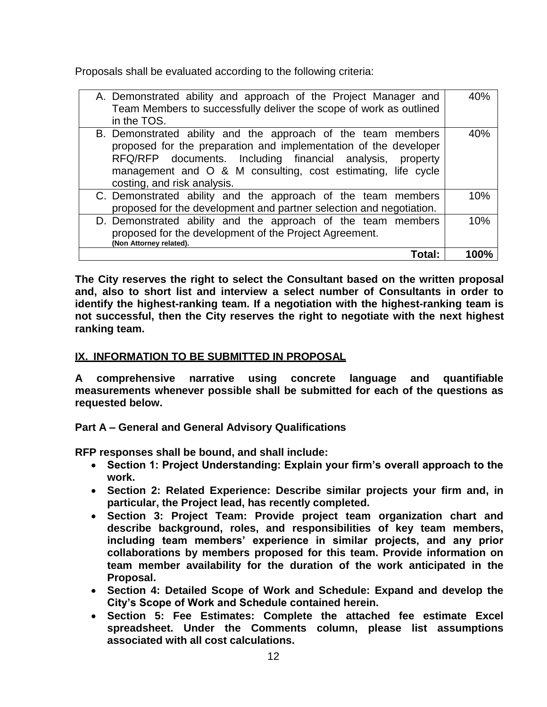Proposals shall be evaluated according to the following criteria:

| A. Demonstrated ability and approach of the Project Manager and<br>Team Members to successfully deliver the scope of work as outlined<br>in the TOS.                                                                                                                                         | 40%  |
|----------------------------------------------------------------------------------------------------------------------------------------------------------------------------------------------------------------------------------------------------------------------------------------------|------|
| B. Demonstrated ability and the approach of the team members<br>proposed for the preparation and implementation of the developer<br>RFQ/RFP documents. Including financial analysis, property<br>management and O & M consulting, cost estimating, life cycle<br>costing, and risk analysis. | 40%  |
| C. Demonstrated ability and the approach of the team members<br>proposed for the development and partner selection and negotiation.                                                                                                                                                          | 10%  |
| D. Demonstrated ability and the approach of the team members<br>proposed for the development of the Project Agreement.<br>(Non Attorney related).                                                                                                                                            | 10%  |
| Total:                                                                                                                                                                                                                                                                                       | 100% |

**The City reserves the right to select the Consultant based on the written proposal and, also to short list and interview a select number of Consultants in order to identify the highest-ranking team. If a negotiation with the highest-ranking team is not successful, then the City reserves the right to negotiate with the next highest ranking team.**

### **IX. INFORMATION TO BE SUBMITTED IN PROPOSAL**

**A comprehensive narrative using concrete language and quantifiable measurements whenever possible shall be submitted for each of the questions as requested below.**

**Part A – General and General Advisory Qualifications** 

**RFP responses shall be bound, and shall include:**

- **Section 1: Project Understanding: Explain your firm's overall approach to the work.**
- **Section 2: Related Experience: Describe similar projects your firm and, in particular, the Project lead, has recently completed.**
- **Section 3: Project Team: Provide project team organization chart and describe background, roles, and responsibilities of key team members, including team members' experience in similar projects, and any prior collaborations by members proposed for this team. Provide information on team member availability for the duration of the work anticipated in the Proposal.**
- **Section 4: Detailed Scope of Work and Schedule: Expand and develop the City's Scope of Work and Schedule contained herein.**
- **Section 5: Fee Estimates: Complete the attached fee estimate Excel spreadsheet. Under the Comments column, please list assumptions associated with all cost calculations.**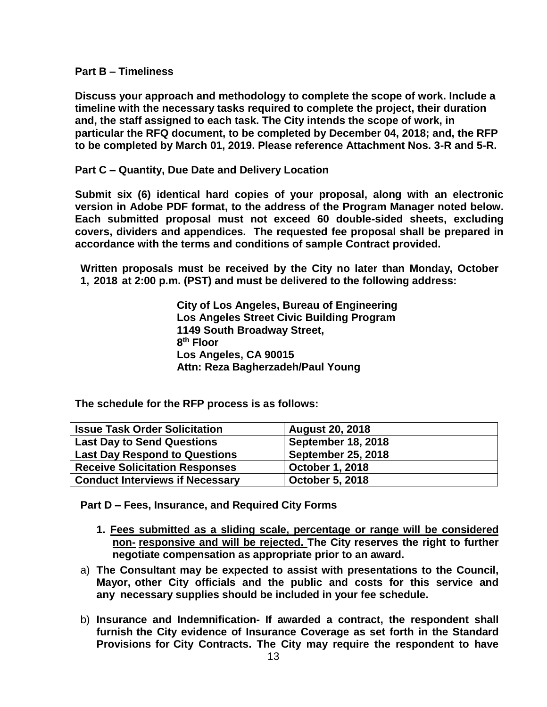**Part B – Timeliness**

**Discuss your approach and methodology to complete the scope of work. Include a timeline with the necessary tasks required to complete the project, their duration and, the staff assigned to each task. The City intends the scope of work, in particular the RFQ document, to be completed by December 04, 2018; and, the RFP to be completed by March 01, 2019. Please reference Attachment Nos. 3-R and 5-R.**

**Part C – Quantity, Due Date and Delivery Location**

**Submit six (6) identical hard copies of your proposal, along with an electronic version in Adobe PDF format, to the address of the Program Manager noted below. Each submitted proposal must not exceed 60 double-sided sheets, excluding covers, dividers and appendices. The requested fee proposal shall be prepared in accordance with the terms and conditions of sample Contract provided.** 

**Written proposals must be received by the City no later than Monday, October 1, 2018 at 2:00 p.m. (PST) and must be delivered to the following address:**

> **City of Los Angeles, Bureau of Engineering Los Angeles Street Civic Building Program 1149 South Broadway Street, 8 th Floor Los Angeles, CA 90015 Attn: Reza Bagherzadeh/Paul Young**

**The schedule for the RFP process is as follows:**

| <b>Issue Task Order Solicitation</b>   | <b>August 20, 2018</b>    |
|----------------------------------------|---------------------------|
| <b>Last Day to Send Questions</b>      | <b>September 18, 2018</b> |
| <b>Last Day Respond to Questions</b>   | <b>September 25, 2018</b> |
| <b>Receive Solicitation Responses</b>  | <b>October 1, 2018</b>    |
| <b>Conduct Interviews if Necessary</b> | <b>October 5, 2018</b>    |

**Part D – Fees, Insurance, and Required City Forms**

- **1. Fees submitted as a sliding scale, percentage or range will be considered non- responsive and will be rejected. The City reserves the right to further negotiate compensation as appropriate prior to an award.**
- a) **The Consultant may be expected to assist with presentations to the Council, Mayor, other City officials and the public and costs for this service and any necessary supplies should be included in your fee schedule.**
- b) **Insurance and Indemnification- If awarded a contract, the respondent shall furnish the City evidence of Insurance Coverage as set forth in the Standard Provisions for City Contracts. The City may require the respondent to have**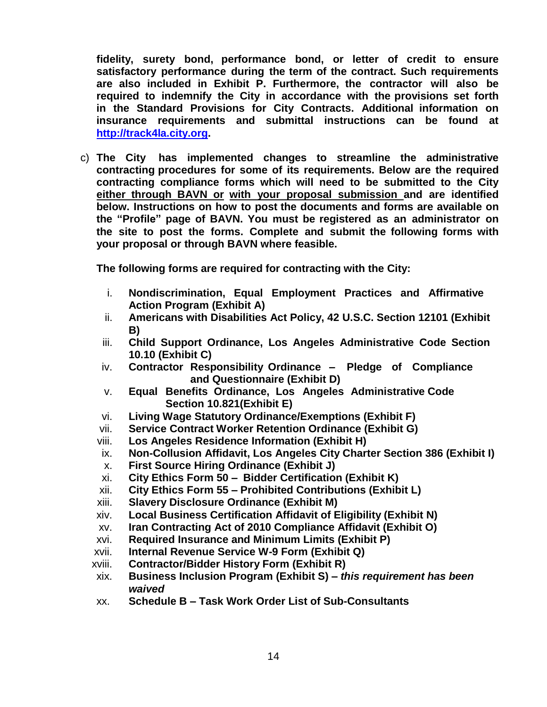**fidelity, surety bond, performance bond, or letter of credit to ensure satisfactory performance during the term of the contract. Such requirements are also included in Exhibit P. Furthermore, the contractor will also be required to indemnify the City in accordance with the provisions set forth in the Standard Provisions for City Contracts. Additional information on insurance requirements and submittal instructions can be found at [http://track4la.city.org.](http://track4la.city.org/)**

c) **The City has implemented changes to streamline the administrative contracting procedures for some of its requirements. Below are the required contracting compliance forms which will need to be submitted to the City either through BAVN or with your proposal submission and are identified below. Instructions on how to post the documents and forms are available on the "Profile" page of BAVN. You must be registered as an administrator on the site to post the forms. Complete and submit the following forms with your proposal or through BAVN where feasible.**

**The following forms are required for contracting with the City:**

- i. **Nondiscrimination, Equal Employment Practices and Affirmative Action Program (Exhibit A)**
- ii. **Americans with Disabilities Act Policy, 42 U.S.C. Section 12101 (Exhibit B)**
- iii. **Child Support Ordinance, Los Angeles Administrative Code Section 10.10 (Exhibit C)**
- iv. **Contractor Responsibility Ordinance – Pledge of Compliance and Questionnaire (Exhibit D)**
- v. **Equal Benefits Ordinance, Los Angeles Administrative Code Section 10.821(Exhibit E)**
- vi. **Living Wage Statutory Ordinance/Exemptions (Exhibit F)**
- vii. **Service Contract Worker Retention Ordinance (Exhibit G)**
- viii. **Los Angeles Residence Information (Exhibit H)**
- ix. **Non-Collusion Affidavit, Los Angeles City Charter Section 386 (Exhibit I)**
- x. **First Source Hiring Ordinance (Exhibit J)**
- xi. **City Ethics Form 50 – Bidder Certification (Exhibit K)**
- xii. **City Ethics Form 55 – Prohibited Contributions (Exhibit L)**
- xiii. **Slavery Disclosure Ordinance (Exhibit M)**
- xiv. **Local Business Certification Affidavit of Eligibility (Exhibit N)**
- xv. **Iran Contracting Act of 2010 Compliance Affidavit (Exhibit O)**
- xvi. **Required Insurance and Minimum Limits (Exhibit P)**
- xvii. **Internal Revenue Service W-9 Form (Exhibit Q)**
- xviii. **Contractor/Bidder History Form (Exhibit R)**
- xix. **Business Inclusion Program (Exhibit S) –** *this requirement has been waived*
- xx. **Schedule B – Task Work Order List of Sub-Consultants**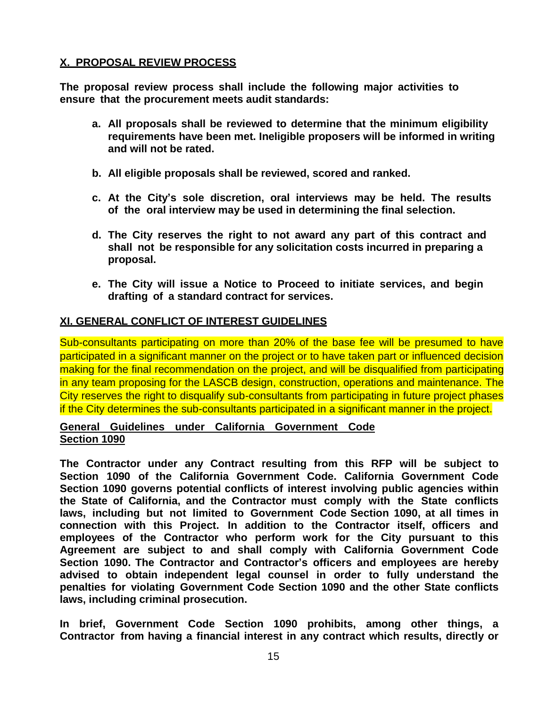### **X. PROPOSAL REVIEW PROCESS**

**The proposal review process shall include the following major activities to ensure that the procurement meets audit standards:**

- **a. All proposals shall be reviewed to determine that the minimum eligibility requirements have been met. Ineligible proposers will be informed in writing and will not be rated.**
- **b. All eligible proposals shall be reviewed, scored and ranked.**
- **c. At the City's sole discretion, oral interviews may be held. The results of the oral interview may be used in determining the final selection.**
- **d. The City reserves the right to not award any part of this contract and shall not be responsible for any solicitation costs incurred in preparing a proposal.**
- **e. The City will issue a Notice to Proceed to initiate services, and begin drafting of a standard contract for services.**

### **XI. GENERAL CONFLICT OF INTEREST GUIDELINES**

Sub-consultants participating on more than 20% of the base fee will be presumed to have participated in a significant manner on the project or to have taken part or influenced decision making for the final recommendation on the project, and will be disqualified from participating in any team proposing for the LASCB design, construction, operations and maintenance. The City reserves the right to disqualify sub-consultants from participating in future project phases if the City determines the sub-consultants participated in a significant manner in the project.

#### **General Guidelines under California Government Code Section 1090**

**The Contractor under any Contract resulting from this RFP will be subject to Section 1090 of the California Government Code. California Government Code Section 1090 governs potential conflicts of interest involving public agencies within the State of California, and the Contractor must comply with the State conflicts laws, including but not limited to Government Code Section 1090, at all times in connection with this Project. In addition to the Contractor itself, officers and employees of the Contractor who perform work for the City pursuant to this Agreement are subject to and shall comply with California Government Code Section 1090. The Contractor and Contractor's officers and employees are hereby advised to obtain independent legal counsel in order to fully understand the penalties for violating Government Code Section 1090 and the other State conflicts laws, including criminal prosecution.**

**In brief, Government Code Section 1090 prohibits, among other things, a Contractor from having a financial interest in any contract which results, directly or**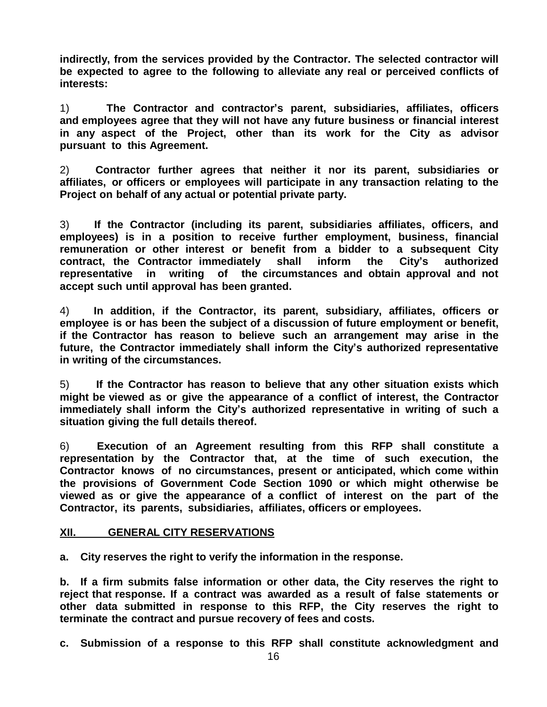**indirectly, from the services provided by the Contractor. The selected contractor will be expected to agree to the following to alleviate any real or perceived conflicts of interests:**

1) **The Contractor and contractor's parent, subsidiaries, affiliates, officers and employees agree that they will not have any future business or financial interest in any aspect of the Project, other than its work for the City as advisor pursuant to this Agreement.**

2) **Contractor further agrees that neither it nor its parent, subsidiaries or affiliates, or officers or employees will participate in any transaction relating to the Project on behalf of any actual or potential private party.**

3) **If the Contractor (including its parent, subsidiaries affiliates, officers, and employees) is in a position to receive further employment, business, financial remuneration or other interest or benefit from a bidder to a subsequent City contract, the Contractor immediately shall inform the City's authorized representative in writing of the circumstances and obtain approval and not accept such until approval has been granted.**

4) **In addition, if the Contractor, its parent, subsidiary, affiliates, officers or employee is or has been the subject of a discussion of future employment or benefit, if the Contractor has reason to believe such an arrangement may arise in the future, the Contractor immediately shall inform the City's authorized representative in writing of the circumstances.**

5) **If the Contractor has reason to believe that any other situation exists which might be viewed as or give the appearance of a conflict of interest, the Contractor immediately shall inform the City's authorized representative in writing of such a situation giving the full details thereof.**

6) **Execution of an Agreement resulting from this RFP shall constitute a representation by the Contractor that, at the time of such execution, the Contractor knows of no circumstances, present or anticipated, which come within the provisions of Government Code Section 1090 or which might otherwise be viewed as or give the appearance of a conflict of interest on the part of the Contractor, its parents, subsidiaries, affiliates, officers or employees.**

#### **XII. GENERAL CITY RESERVATIONS**

**a. City reserves the right to verify the information in the response.**

**b. If a firm submits false information or other data, the City reserves the right to reject that response. If a contract was awarded as a result of false statements or other data submitted in response to this RFP, the City reserves the right to terminate the contract and pursue recovery of fees and costs.**

**c. Submission of a response to this RFP shall constitute acknowledgment and**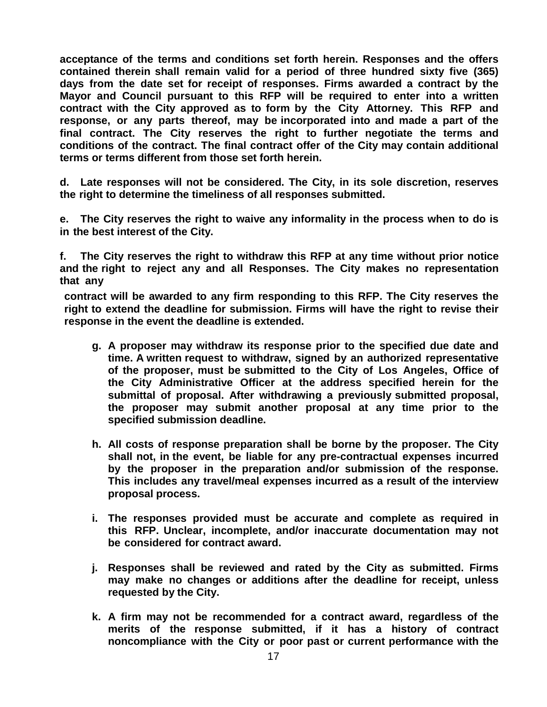**acceptance of the terms and conditions set forth herein. Responses and the offers contained therein shall remain valid for a period of three hundred sixty five (365) days from the date set for receipt of responses. Firms awarded a contract by the Mayor and Council pursuant to this RFP will be required to enter into a written contract with the City approved as to form by the City Attorney. This RFP and response, or any parts thereof, may be incorporated into and made a part of the final contract. The City reserves the right to further negotiate the terms and conditions of the contract. The final contract offer of the City may contain additional terms or terms different from those set forth herein.**

**d. Late responses will not be considered. The City, in its sole discretion, reserves the right to determine the timeliness of all responses submitted.**

**e. The City reserves the right to waive any informality in the process when to do is in the best interest of the City.**

**f. The City reserves the right to withdraw this RFP at any time without prior notice and the right to reject any and all Responses. The City makes no representation that any**

**contract will be awarded to any firm responding to this RFP. The City reserves the right to extend the deadline for submission. Firms will have the right to revise their response in the event the deadline is extended.**

- **g. A proposer may withdraw its response prior to the specified due date and time. A written request to withdraw, signed by an authorized representative of the proposer, must be submitted to the City of Los Angeles, Office of the City Administrative Officer at the address specified herein for the submittal of proposal. After withdrawing a previously submitted proposal, the proposer may submit another proposal at any time prior to the specified submission deadline.**
- **h. All costs of response preparation shall be borne by the proposer. The City shall not, in the event, be liable for any pre-contractual expenses incurred by the proposer in the preparation and/or submission of the response. This includes any travel/meal expenses incurred as a result of the interview proposal process.**
- **i. The responses provided must be accurate and complete as required in this RFP. Unclear, incomplete, and/or inaccurate documentation may not be considered for contract award.**
- **j. Responses shall be reviewed and rated by the City as submitted. Firms may make no changes or additions after the deadline for receipt, unless requested by the City.**
- **k. A firm may not be recommended for a contract award, regardless of the merits of the response submitted, if it has a history of contract noncompliance with the City or poor past or current performance with the**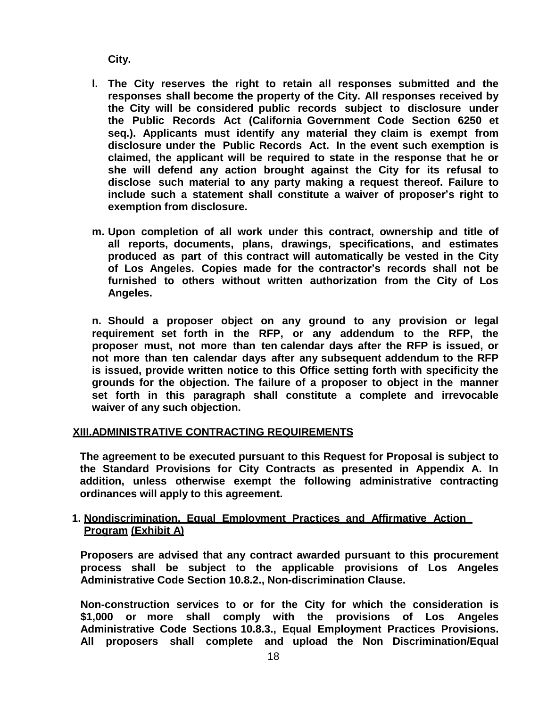**City.**

- **l. The City reserves the right to retain all responses submitted and the responses shall become the property of the City. All responses received by the City will be considered public records subject to disclosure under the Public Records Act (California Government Code Section 6250 et seq.). Applicants must identify any material they claim is exempt from disclosure under the Public Records Act. In the event such exemption is claimed, the applicant will be required to state in the response that he or she will defend any action brought against the City for its refusal to disclose such material to any party making a request thereof. Failure to include such a statement shall constitute a waiver of proposer's right to exemption from disclosure.**
- **m. Upon completion of all work under this contract, ownership and title of all reports, documents, plans, drawings, specifications, and estimates produced as part of this contract will automatically be vested in the City of Los Angeles. Copies made for the contractor's records shall not be furnished to others without written authorization from the City of Los Angeles.**

**n. Should a proposer object on any ground to any provision or legal requirement set forth in the RFP, or any addendum to the RFP, the proposer must, not more than ten calendar days after the RFP is issued, or not more than ten calendar days after any subsequent addendum to the RFP is issued, provide written notice to this Office setting forth with specificity the grounds for the objection. The failure of a proposer to object in the manner set forth in this paragraph shall constitute a complete and irrevocable waiver of any such objection.**

#### **XIII.ADMINISTRATIVE CONTRACTING REQUIREMENTS**

**The agreement to be executed pursuant to this Request for Proposal is subject to the Standard Provisions for City Contracts as presented in Appendix A. In addition, unless otherwise exempt the following administrative contracting ordinances will apply to this agreement.**

#### **1. Nondiscrimination, Equal Employment Practices and Affirmative Action Program (Exhibit A)**

**Proposers are advised that any contract awarded pursuant to this procurement process shall be subject to the applicable provisions of Los Angeles Administrative Code Section 10.8.2., Non-discrimination Clause.**

**Non-construction services to or for the City for which the consideration is \$1,000 or more shall comply with the provisions of Los Angeles Administrative Code Sections 10.8.3., Equal Employment Practices Provisions. All proposers shall complete and upload the Non Discrimination/Equal**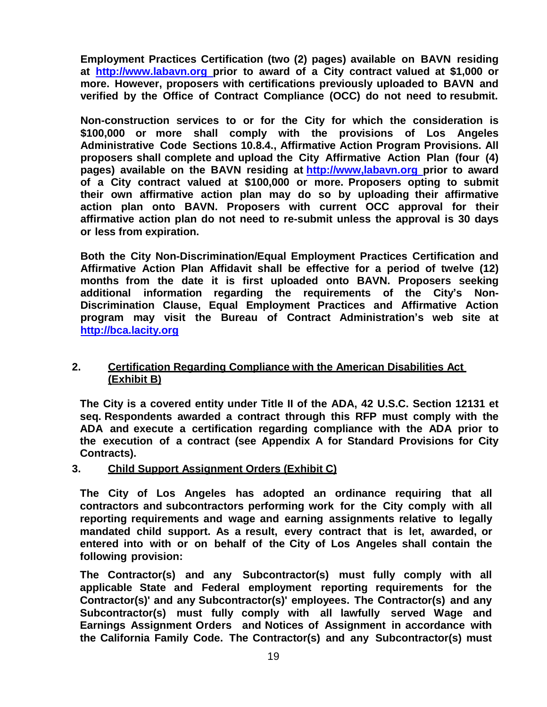**Employment Practices Certification (two (2) pages) available on BAVN residing at [http://www.labavn.org](http://www.labavn.org/) prior to award of a City contract valued at \$1,000 or more. However, proposers with certifications previously uploaded to BAVN and verified by the Office of Contract Compliance (OCC) do not need to resubmit.**

**Non-construction services to or for the City for which the consideration is \$100,000 or more shall comply with the provisions of Los Angeles Administrative Code Sections 10.8.4., Affirmative Action Program Provisions. All proposers shall complete and upload the City Affirmative Action Plan (four (4) pages) available on the BAVN residing at http://www,labavn.org prior to award of a City contract valued at \$100,000 or more. Proposers opting to submit their own affirmative action plan may do so by uploading their affirmative action plan onto BAVN. Proposers with current OCC approval for their affirmative action plan do not need to re-submit unless the approval is 30 days or less from expiration.**

**Both the City Non-Discrimination/Equal Employment Practices Certification and Affirmative Action Plan Affidavit shall be effective for a period of twelve (12) months from the date it is first uploaded onto BAVN. Proposers seeking additional information regarding the requirements of the City's Non-Discrimination Clause, Equal Employment Practices and Affirmative Action program may visit the Bureau of Contract Administration's web site at [http://bca.lacity.org](http://bca.lacity.org/index.cfm)**

#### **2. Certification Regarding Compliance with the American Disabilities Act (Exhibit B)**

**The City is a covered entity under Title II of the ADA, 42 U.S.C. Section 12131 et seq. Respondents awarded a contract through this RFP must comply with the ADA and execute a certification regarding compliance with the ADA prior to the execution of a contract (see Appendix A for Standard Provisions for City Contracts).**

#### **3. Child Support Assignment Orders (Exhibit C)**

**The City of Los Angeles has adopted an ordinance requiring that all contractors and subcontractors performing work for the City comply with all reporting requirements and wage and earning assignments relative to legally mandated child support. As a result, every contract that is let, awarded, or entered into with or on behalf of the City of Los Angeles shall contain the following provision:**

**The Contractor(s) and any Subcontractor(s) must fully comply with all applicable State and Federal employment reporting requirements for the Contractor(s)' and any Subcontractor(s)' employees. The Contractor(s) and any Subcontractor(s) must fully comply with all lawfully served Wage and Earnings Assignment Orders and Notices of Assignment in accordance with the California Family Code. The Contractor(s) and any Subcontractor(s) must**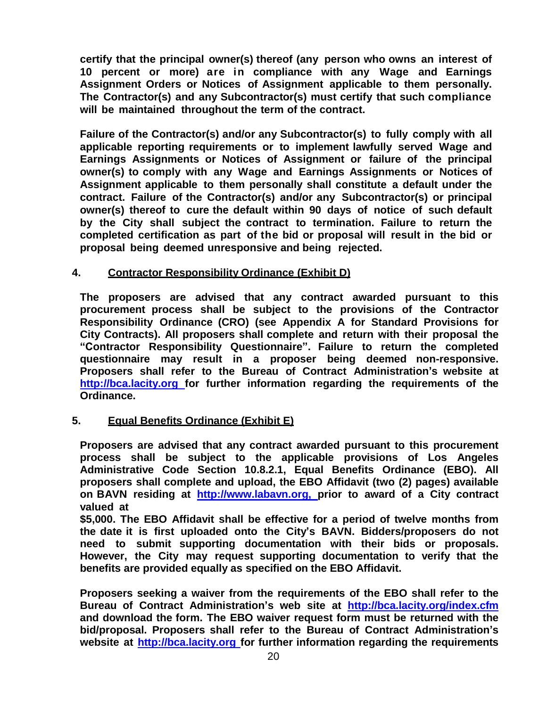**certify that the principal owner(s) thereof (any person who owns an interest of 10 percent or more) are in compliance with any Wage and Earnings Assignment Orders or Notices of Assignment applicable to them personally. The Contractor(s) and any Subcontractor(s) must certify that such compliance will be maintained throughout the term of the contract.**

**Failure of the Contractor(s) and/or any Subcontractor(s) to fully comply with all applicable reporting requirements or to implement lawfully served Wage and Earnings Assignments or Notices of Assignment or failure of the principal owner(s) to comply with any Wage and Earnings Assignments or Notices of Assignment applicable to them personally shall constitute a default under the contract. Failure of the Contractor(s) and/or any Subcontractor(s) or principal owner(s) thereof to cure the default within 90 days of notice of such default by the City shall subject the contract to termination. Failure to return the completed certification as part of the bid or proposal will result in the bid or proposal being deemed unresponsive and being rejected.**

#### **4. Contractor Responsibility Ordinance (Exhibit D)**

**The proposers are advised that any contract awarded pursuant to this procurement process shall be subject to the provisions of the Contractor Responsibility Ordinance (CRO) (see Appendix A for Standard Provisions for City Contracts). All proposers shall complete and return with their proposal the "Contractor Responsibility Questionnaire". Failure to return the completed questionnaire may result in a proposer being deemed non-responsive. Proposers shall refer to the Bureau of Contract Administration's website at [http://bca.lacity.org](http://bca.lacity.org/) for further information regarding the requirements of the Ordinance.**

#### **5. Equal Benefits Ordinance (Exhibit E)**

**Proposers are advised that any contract awarded pursuant to this procurement process shall be subject to the applicable provisions of Los Angeles Administrative Code Section 10.8.2.1, Equal Benefits Ordinance (EBO). All proposers shall complete and upload, the EBO Affidavit (two (2) pages) available on BAVN residing at [http://www.labavn.org,](http://www.labavn.org/) prior to award of a City contract valued at**

**\$5,000. The EBO Affidavit shall be effective for a period of twelve months from the date it is first uploaded onto the City's BAVN. Bidders/proposers do not need to submit supporting documentation with their bids or proposals. However, the City may request supporting documentation to verify that the benefits are provided equally as specified on the EBO Affidavit.**

**Proposers seeking a waiver from the requirements of the EBO shall refer to the Bureau of Contract Administration's web site at <http://bca.lacity.org/index.cfm> and download the form. The EBO waiver request form must be returned with the bid/proposal. Proposers shall refer to the Bureau of Contract Administration's website at [http://bca.lacity.org](http://bca.lacity.org/) for further information regarding the requirements**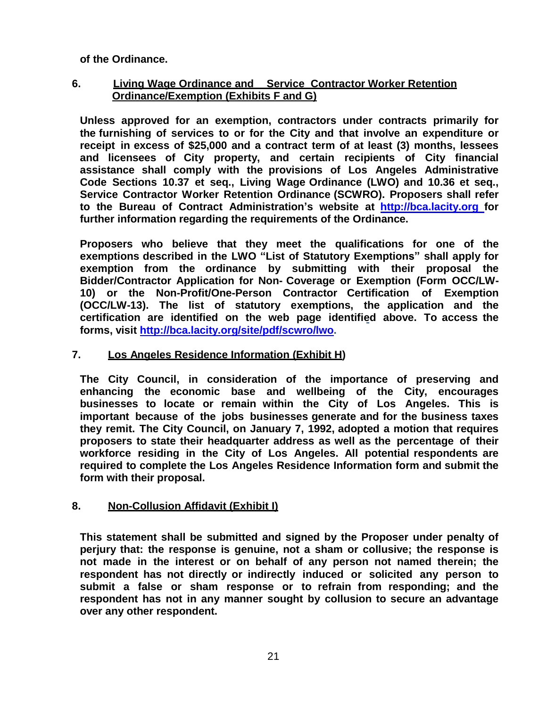**of the Ordinance.**

#### **6. Living Wage Ordinance and Service Contractor Worker Retention Ordinance/Exemption (Exhibits F and G)**

**Unless approved for an exemption, contractors under contracts primarily for the furnishing of services to or for the City and that involve an expenditure or receipt in excess of \$25,000 and a contract term of at least (3) months, lessees and licensees of City property, and certain recipients of City financial assistance shall comply with the provisions of Los Angeles Administrative Code Sections 10.37 et seq., Living Wage Ordinance (LWO) and 10.36 et seq., Service Contractor Worker Retention Ordinance (SCWRO). Proposers shall refer to the Bureau of Contract Administration's website at [http://bca.lacity.org](http://bca.lacity.org/) for further information regarding the requirements of the Ordinance.**

**Proposers who believe that they meet the qualifications for one of the exemptions described in the LWO "List of Statutory Exemptions" shall apply for exemption from the ordinance by submitting with their proposal the Bidder/Contractor Application for Non- Coverage or Exemption (Form OCC/LW-10) or the Non-Profit/One-Person Contractor Certification of Exemption (OCC/LW-13). The list of statutory exemptions, the application and the certification are identified on the web page identified above. To access the forms, visit [http://bca.lacity.org/site/pdf/scwro/lwo.](http://bca.lacity.org/site/pdf/scwro/lwo%20and%20scwro%20rfp%20language%20and%20attachments.pdf)**

### **7. Los Angeles Residence Information (Exhibit H)**

**The City Council, in consideration of the importance of preserving and enhancing the economic base and wellbeing of the City, encourages businesses to locate or remain within the City of Los Angeles. This is important because of the jobs businesses generate and for the business taxes they remit. The City Council, on January 7, 1992, adopted a motion that requires proposers to state their headquarter address as well as the percentage of their workforce residing in the City of Los Angeles. All potential respondents are required to complete the Los Angeles Residence Information form and submit the form with their proposal.**

### **8. Non-Collusion Affidavit (Exhibit I)**

**This statement shall be submitted and signed by the Proposer under penalty of perjury that: the response is genuine, not a sham or collusive; the response is not made in the interest or on behalf of any person not named therein; the respondent has not directly or indirectly induced or solicited any person to submit a false or sham response or to refrain from responding; and the respondent has not in any manner sought by collusion to secure an advantage over any other respondent.**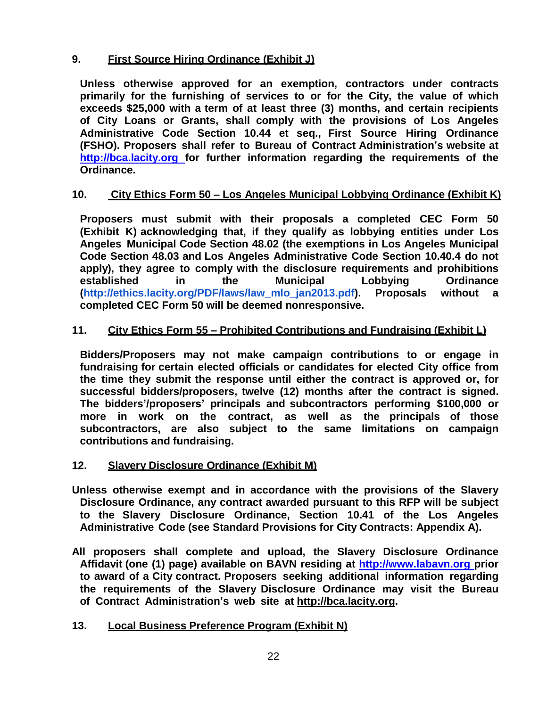### **9. First Source Hiring Ordinance (Exhibit J)**

**Unless otherwise approved for an exemption, contractors under contracts primarily for the furnishing of services to or for the City, the value of which exceeds \$25,000 with a term of at least three (3) months, and certain recipients of City Loans or Grants, shall comply with the provisions of Los Angeles Administrative Code Section 10.44 et seq., First Source Hiring Ordinance (FSHO). Proposers shall refer to Bureau of Contract Administration's website at [http://bca.lacity.org](http://bca.lacity.org/) for further information regarding the requirements of the Ordinance.**

#### **10. City Ethics Form 50 – Los Angeles Municipal Lobbying Ordinance (Exhibit K)**

**Proposers must submit with their proposals a completed CEC Form 50 (Exhibit K) acknowledging that, if they qualify as lobbying entities under Los Angeles Municipal Code Section 48.02 (the exemptions in Los Angeles Municipal Code Section 48.03 and Los Angeles Administrative Code Section 10.40.4 do not apply), they agree to comply with the disclosure requirements and prohibitions established in the Municipal Lobbying Ordinance [\(http://ethics.lacity.org/PDF/laws/law\\_mlo\\_jan2013.pdf\)](http://ethics.lacity.org/PDF/laws/law_mlo_jan2013.pdf). Proposals without a completed CEC Form 50 will be deemed nonresponsive.**

#### **11. City Ethics Form 55 – Prohibited Contributions and Fundraising (Exhibit L)**

**Bidders/Proposers may not make campaign contributions to or engage in fundraising for certain elected officials or candidates for elected City office from the time they submit the response until either the contract is approved or, for successful bidders/proposers, twelve (12) months after the contract is signed. The bidders'/proposers' principals and subcontractors performing \$100,000 or more in work on the contract, as well as the principals of those subcontractors, are also subject to the same limitations on campaign contributions and fundraising.**

#### **12. Slavery Disclosure Ordinance (Exhibit M)**

- **Unless otherwise exempt and in accordance with the provisions of the Slavery Disclosure Ordinance, any contract awarded pursuant to this RFP will be subject to the Slavery Disclosure Ordinance, Section 10.41 of the Los Angeles Administrative Code (see Standard Provisions for City Contracts: Appendix A).**
- **All proposers shall complete and upload, the Slavery Disclosure Ordinance Affidavit (one (1) page) available on BAVN residing at [http://www.labavn.org](http://www.labavn.org/) prior to award of a City contract. Proposers seeking additional information regarding the requirements of the Slavery Disclosure Ordinance may visit the Bureau of Contract Administration's web site at [http://bca.lacity.org.](http://bca.lacity.org/)**

### **13. Local Business Preference Program (Exhibit N)**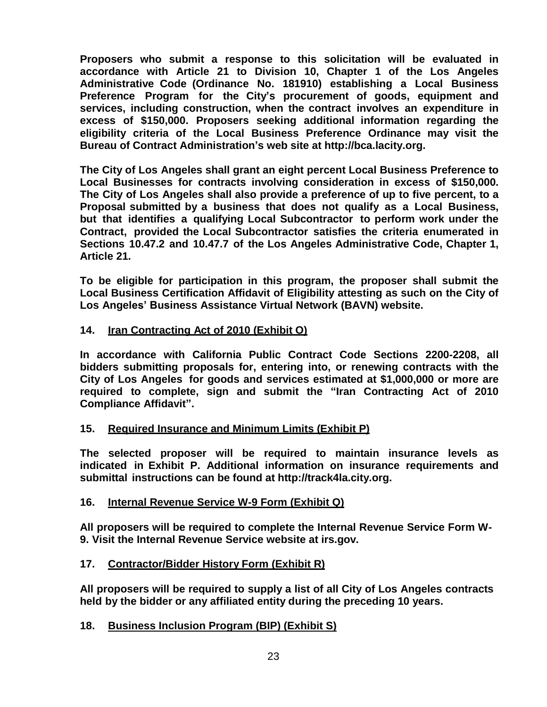**Proposers who submit a response to this solicitation will be evaluated in accordance with Article 21 to Division 10, Chapter 1 of the Los Angeles Administrative Code (Ordinance No. 181910) establishing a Local Business Preference Program for the City's procurement of goods, equipment and services, including construction, when the contract involves an expenditure in excess of \$150,000. Proposers seeking additional information regarding the eligibility criteria of the Local Business Preference Ordinance may visit the Bureau of Contract Administration's web site at [http://bca.lacity.org.](http://bca.lacity.org/)**

**The City of Los Angeles shall grant an eight percent Local Business Preference to Local Businesses for contracts involving consideration in excess of \$150,000. The City of Los Angeles shall also provide a preference of up to five percent, to a Proposal submitted by a business that does not qualify as a Local Business, but that identifies a qualifying Local Subcontractor to perform work under the Contract, provided the Local Subcontractor satisfies the criteria enumerated in Sections 10.47.2 and 10.47.7 of the Los Angeles Administrative Code, Chapter 1, Article 21.**

**To be eligible for participation in this program, the proposer shall submit the Local Business Certification Affidavit of Eligibility attesting as such on the City of Los Angeles' Business Assistance Virtual Network (BAVN) website.**

#### **14. Iran Contracting Act of 2010 (Exhibit O)**

**In accordance with California Public Contract Code Sections 2200-2208, all bidders submitting proposals for, entering into, or renewing contracts with the City of Los Angeles for goods and services estimated at \$1,000,000 or more are required to complete, sign and submit the "Iran Contracting Act of 2010 Compliance Affidavit".**

#### **15. Required Insurance and Minimum Limits (Exhibit P)**

**The selected proposer will be required to maintain insurance levels as indicated in Exhibit P. Additional information on insurance requirements and submittal instructions can be found at [http://track4la.city.org.](http://track4la.city.org/)**

#### **16. Internal Revenue Service W-9 Form (Exhibit Q)**

**All proposers will be required to complete the Internal Revenue Service Form W-9. Visit the Internal Revenue Service website at irs.gov.**

#### **17. Contractor/Bidder History Form (Exhibit R)**

**All proposers will be required to supply a list of all City of Los Angeles contracts held by the bidder or any affiliated entity during the preceding 10 years.**

### **18. Business Inclusion Program (BIP) (Exhibit S)**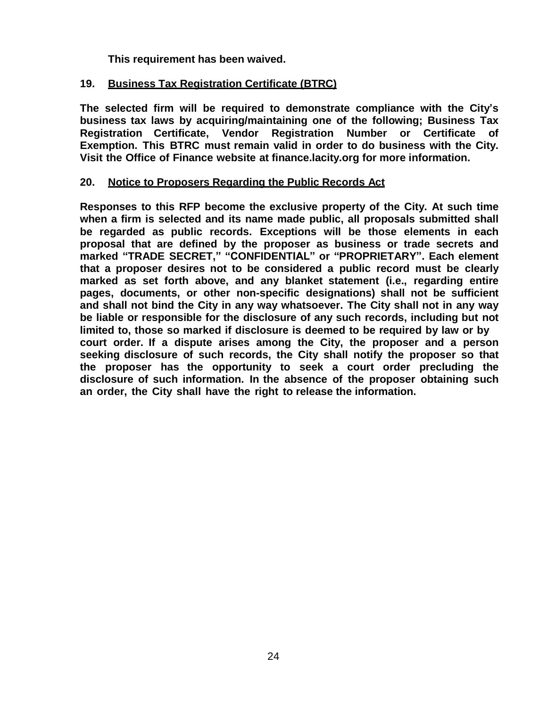**This requirement has been waived.**

### **19. Business Tax Registration Certificate (BTRC)**

**The selected firm will be required to demonstrate compliance with the City's business tax laws by acquiring/maintaining one of the following; Business Tax Registration Certificate, Vendor Registration Number or Certificate of Exemption. This BTRC must remain valid in order to do business with the City. Visit the Office of Finance website at finance.lacity.org for more information.**

#### **20. Notice to Proposers Regarding the Public Records Act**

**Responses to this RFP become the exclusive property of the City. At such time when a firm is selected and its name made public, all proposals submitted shall be regarded as public records. Exceptions will be those elements in each proposal that are defined by the proposer as business or trade secrets and marked "TRADE SECRET," "CONFIDENTIAL" or "PROPRIETARY". Each element that a proposer desires not to be considered a public record must be clearly marked as set forth above, and any blanket statement (i.e., regarding entire pages, documents, or other non-specific designations) shall not be sufficient and shall not bind the City in any way whatsoever. The City shall not in any way be liable or responsible for the disclosure of any such records, including but not limited to, those so marked if disclosure is deemed to be required by law or by court order. If a dispute arises among the City, the proposer and a person seeking disclosure of such records, the City shall notify the proposer so that the proposer has the opportunity to seek a court order precluding the disclosure of such information. In the absence of the proposer obtaining such an order, the City shall have the right to release the information.**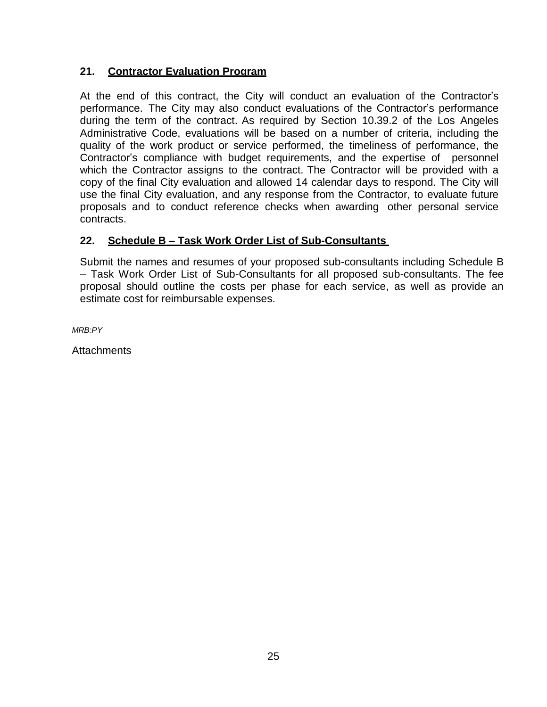### **21. Contractor Evaluation Program**

At the end of this contract, the City will conduct an evaluation of the Contractor's performance. The City may also conduct evaluations of the Contractor's performance during the term of the contract. As required by Section 10.39.2 of the Los Angeles Administrative Code, evaluations will be based on a number of criteria, including the quality of the work product or service performed, the timeliness of performance, the Contractor's compliance with budget requirements, and the expertise of personnel which the Contractor assigns to the contract. The Contractor will be provided with a copy of the final City evaluation and allowed 14 calendar days to respond. The City will use the final City evaluation, and any response from the Contractor, to evaluate future proposals and to conduct reference checks when awarding other personal service contracts.

### **22. Schedule B – Task Work Order List of Sub-Consultants**

Submit the names and resumes of your proposed sub-consultants including Schedule B – Task Work Order List of Sub-Consultants for all proposed sub-consultants. The fee proposal should outline the costs per phase for each service, as well as provide an estimate cost for reimbursable expenses.

*MRB:PY*

**Attachments**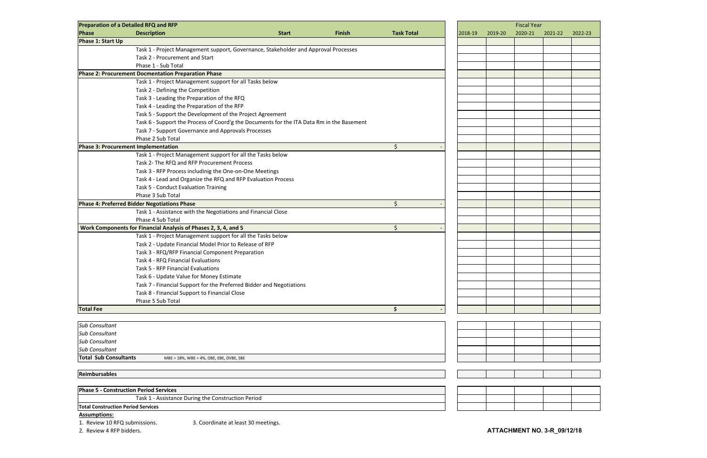| <b>Preparation of a Detailed RFQ and RFP</b>  |                                                                      |                                                                                           |               |                    |         | <b>Fiscal Year</b> |         |         |         |         |
|-----------------------------------------------|----------------------------------------------------------------------|-------------------------------------------------------------------------------------------|---------------|--------------------|---------|--------------------|---------|---------|---------|---------|
| Phase                                         | <b>Description</b>                                                   | <b>Start</b>                                                                              | <b>Finish</b> | <b>Task Total</b>  | 2018-19 |                    | 2019-20 | 2020-21 | 2021-22 | 2022-23 |
| Phase 1: Start Up                             |                                                                      |                                                                                           |               |                    |         |                    |         |         |         |         |
|                                               |                                                                      | Task 1 - Project Management support, Governance, Stakeholder and Approval Processes       |               |                    |         |                    |         |         |         |         |
|                                               | Task 2 - Procurement and Start                                       |                                                                                           |               |                    |         |                    |         |         |         |         |
|                                               | Phase 1 - Sub Total                                                  |                                                                                           |               |                    |         |                    |         |         |         |         |
|                                               | <b>Phase 2: Procurement Docmentation Preparation Phase</b>           |                                                                                           |               |                    |         |                    |         |         |         |         |
|                                               | Task 1 - Project Management support for all Tasks below              |                                                                                           |               |                    |         |                    |         |         |         |         |
|                                               | Task 2 - Defining the Competition                                    |                                                                                           |               |                    |         |                    |         |         |         |         |
|                                               | Task 3 - Leading the Preparation of the RFQ                          |                                                                                           |               |                    |         |                    |         |         |         |         |
|                                               | Task 4 - Leading the Preparation of the RFP                          |                                                                                           |               |                    |         |                    |         |         |         |         |
|                                               | Task 5 - Support the Development of the Project Agreement            |                                                                                           |               |                    |         |                    |         |         |         |         |
|                                               |                                                                      | Task 6 - Support the Process of Coord'g the Documents for the ITA Data Rm in the Basement |               |                    |         |                    |         |         |         |         |
|                                               | Task 7 - Support Governance and Approvals Processes                  |                                                                                           |               |                    |         |                    |         |         |         |         |
|                                               | Phase 2 Sub Total                                                    |                                                                                           |               |                    |         |                    |         |         |         |         |
| <b>Phase 3: Procurement Implementation</b>    |                                                                      |                                                                                           |               | \$                 |         |                    |         |         |         |         |
|                                               | Task 1 - Project Management support for all the Tasks below          |                                                                                           |               |                    |         |                    |         |         |         |         |
|                                               | Task 2- The RFQ and RFP Procurement Process                          |                                                                                           |               |                    |         |                    |         |         |         |         |
|                                               | Task 3 - RFP Process includinig the One-on-One Meetings              |                                                                                           |               |                    |         |                    |         |         |         |         |
|                                               | Task 4 - Lead and Organize the RFQ and RFP Evaluation Process        |                                                                                           |               |                    |         |                    |         |         |         |         |
|                                               | Task 5 - Conduct Evaluation Training                                 |                                                                                           |               |                    |         |                    |         |         |         |         |
|                                               | Phase 3 Sub Total                                                    |                                                                                           |               |                    |         |                    |         |         |         |         |
|                                               | Phase 4: Preferred Bidder Negotiations Phase                         |                                                                                           |               | $\mathsf{\dot{S}}$ |         |                    |         |         |         |         |
|                                               | Task 1 - Assistance with the Negotiations and Financial Close        |                                                                                           |               |                    |         |                    |         |         |         |         |
|                                               | Phase 4 Sub Total                                                    |                                                                                           |               |                    |         |                    |         |         |         |         |
|                                               | Work Components for Financial Analysis of Phases 2, 3, 4, and 5      |                                                                                           |               | $\zeta$            |         |                    |         |         |         |         |
|                                               | Task 1 - Project Management support for all the Tasks below          |                                                                                           |               |                    |         |                    |         |         |         |         |
|                                               | Task 2 - Update Financial Model Prior to Release of RFP              |                                                                                           |               |                    |         |                    |         |         |         |         |
|                                               | Task 3 - RFQ/RFP Financial Component Preparation                     |                                                                                           |               |                    |         |                    |         |         |         |         |
|                                               | Task 4 - RFQ Financial Evaluations                                   |                                                                                           |               |                    |         |                    |         |         |         |         |
|                                               | Task 5 - RFP Financial Evaluations                                   |                                                                                           |               |                    |         |                    |         |         |         |         |
|                                               | Task 6 - Update Value for Money Estimate                             |                                                                                           |               |                    |         |                    |         |         |         |         |
|                                               | Task 7 - Financial Support for the Preferred Bidder and Negotiations |                                                                                           |               |                    |         |                    |         |         |         |         |
|                                               | Task 8 - Financial Support to Financial Close                        |                                                                                           |               |                    |         |                    |         |         |         |         |
|                                               | Phase 5 Sub Total                                                    |                                                                                           |               |                    |         |                    |         |         |         |         |
| <b>Total Fee</b>                              |                                                                      |                                                                                           |               | \$                 |         |                    |         |         |         |         |
|                                               |                                                                      |                                                                                           |               |                    |         |                    |         |         |         |         |
| <b>Sub Consultant</b>                         |                                                                      |                                                                                           |               |                    |         |                    |         |         |         |         |
| Sub Consultant                                |                                                                      |                                                                                           |               |                    |         |                    |         |         |         |         |
| <b>Sub Consultant</b>                         |                                                                      |                                                                                           |               |                    |         |                    |         |         |         |         |
| Sub Consultant                                |                                                                      |                                                                                           |               |                    |         |                    |         |         |         |         |
| <b>Total Sub Consultants</b>                  | MBE = 18%, WBE = 4%, OBE, EBE, DVBE, SBE                             |                                                                                           |               |                    |         |                    |         |         |         |         |
|                                               |                                                                      |                                                                                           |               |                    |         |                    |         |         |         |         |
| <b>Reimbursables</b>                          |                                                                      |                                                                                           |               |                    |         |                    |         |         |         |         |
| <b>Phase 5 - Construction Period Services</b> |                                                                      |                                                                                           |               |                    |         |                    |         |         |         |         |
|                                               | Task 1 - Assistance During the Construction Period                   |                                                                                           |               |                    |         |                    |         |         |         |         |
| <b>Total Construction Period Services</b>     |                                                                      |                                                                                           |               |                    |         |                    |         |         |         |         |

### **Assumptions:**

1. Review 10 RFQ submissions. 3. Coordinate at least 30 meetings.

2. Review 4 RFP bidders.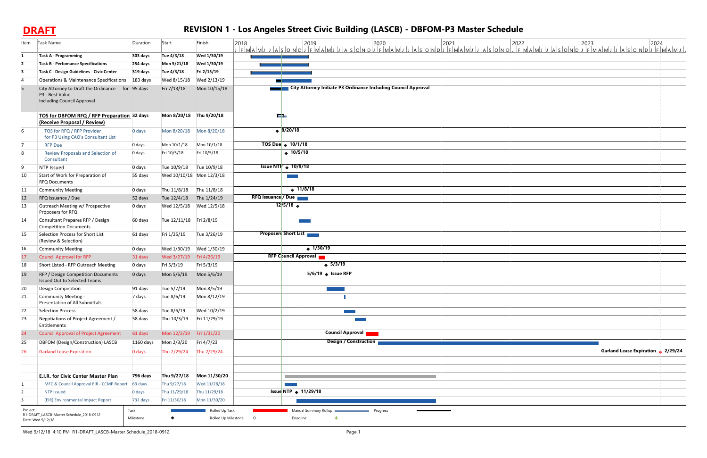| Item         | Task Name                                                                                                | Duration             | Start                        | Finish                                | 2018       | 2019                            |                                                              | 2020                                                           | 2021<br>JFMAMJJASONDJFMAMJJASONDJFMAMJJASONDJFMAMJJASONDJFMAMJJASONDJFMAMJJASONDJFMAMJJASONDJFMAMJJ | 2022 | 2023 | 2024                               |
|--------------|----------------------------------------------------------------------------------------------------------|----------------------|------------------------------|---------------------------------------|------------|---------------------------------|--------------------------------------------------------------|----------------------------------------------------------------|-----------------------------------------------------------------------------------------------------|------|------|------------------------------------|
|              | <b>Task A - Programming</b>                                                                              | 303 days             | Tue 4/3/18                   | Wed 1/30/19                           |            |                                 |                                                              |                                                                |                                                                                                     |      |      |                                    |
|              | <b>Task B - Perfomance Specifications</b>                                                                | 254 days             | Mon 5/21/18                  | Wed 1/30/19                           |            |                                 |                                                              |                                                                |                                                                                                     |      |      |                                    |
|              | Task C - Design Guidelines - Civic Center                                                                | 319 days             | Tue 4/3/18                   | Fri 2/15/19                           |            |                                 |                                                              |                                                                |                                                                                                     |      |      |                                    |
|              | <b>Operations &amp; Maintenance Specifications</b>                                                       | 183 days             | Wed 8/15/18                  | Wed 2/13/19                           |            |                                 |                                                              |                                                                |                                                                                                     |      |      |                                    |
|              | City Attorney to Draft the Ordinance for 95 days<br>P3 - Best Value<br><b>Including Council Approval</b> |                      | Fri 7/13/18                  | Mon 10/15/18                          |            |                                 |                                                              | City Attorney Initiate P3 Ordinance Including Council Approval |                                                                                                     |      |      |                                    |
|              | TOS for DBFOM RFQ / RFP Preparation 32 days<br>(Receive Proposal / Review)                               |                      | Mon 8/20/18 Thu 9/20/18      |                                       |            | والأكار                         |                                                              |                                                                |                                                                                                     |      |      |                                    |
|              | TOS for RFQ / RFP Provider<br>for P3 Using CAO's Consultant List                                         | 0 days               |                              |                                       |            | $\leftrightarrow$ 8/20/18       |                                                              |                                                                |                                                                                                     |      |      |                                    |
|              | <b>RFP Due</b>                                                                                           | 0 days               | Mon 10/1/18                  | Mon 10/1/18                           |            | TOS Due $\rightarrow$ 10/1/18   |                                                              |                                                                |                                                                                                     |      |      |                                    |
|              | Review Proposals and Selection of<br>Consultant                                                          | 0 days               | Fri 10/5/18                  | Fri 10/5/18                           |            | ◆ $10/5/18$                     |                                                              |                                                                |                                                                                                     |      |      |                                    |
|              | NTP Issued                                                                                               | 0 days               | Tue 10/9/18                  | Tue 10/9/18                           |            | Issue NTP $\triangleq$ 10/9/18  |                                                              |                                                                |                                                                                                     |      |      |                                    |
| 10           | Start of Work for Preparation of<br><b>RFQ Documents</b>                                                 | 55 days              |                              | Wed 10/10/18 Mon 12/3/18              |            | <b>Contract</b>                 |                                                              |                                                                |                                                                                                     |      |      |                                    |
| 11           | <b>Community Meeting</b>                                                                                 | 0 days               | Thu 11/8/18                  | Thu 11/8/18                           |            | $\leftrightarrow$ 11/8/18       |                                                              |                                                                |                                                                                                     |      |      |                                    |
| 12           | RFQ Issuance / Due                                                                                       | 52 days              | Tue 12/4/18                  | Thu 1/24/19                           |            | <b>RFQ Issuance / Due</b>       |                                                              |                                                                |                                                                                                     |      |      |                                    |
| $ 13\rangle$ | Outreach Meeting w/ Prospective<br>Proposers for RFQ                                                     | 0 days               |                              | Wed 12/5/18 Wed 12/5/18               |            | $12/5/18$ $\rightarrow$         |                                                              |                                                                |                                                                                                     |      |      |                                    |
| 14           | Consultant Prepares RFP / Design<br><b>Competition Documents</b>                                         | 60 days              | Tue 12/11/18 Fri 2/8/19      |                                       |            |                                 |                                                              |                                                                |                                                                                                     |      |      |                                    |
| 15           | Selection Process for Short List<br>(Review & Selection)                                                 | 61 days              | Fri 1/25/19                  | Tue 3/26/19                           |            | <b>Proposers Short List</b>     |                                                              |                                                                |                                                                                                     |      |      |                                    |
| 16           | <b>Community Meeting</b>                                                                                 | 0 days               |                              | Wed 1/30/19 Wed 1/30/19               |            | $\leftrightarrow$ 1/30/19       |                                                              |                                                                |                                                                                                     |      |      |                                    |
| 17           | <b>Council Approval for RFP</b>                                                                          | 31 days              | Wed 3/27/19 Fri 4/26/19      |                                       |            | <b>RFP Council Approval</b>     |                                                              |                                                                |                                                                                                     |      |      |                                    |
| 18           | Short Listed - RFP Outreach Meeting                                                                      | 0 days               | Fri 5/3/19                   | Fri 5/3/19                            |            |                                 | $\leftrightarrow$ 5/3/19                                     |                                                                |                                                                                                     |      |      |                                    |
| 19           | RFP / Design Competition Documents<br>Issued Out to Selected Teams                                       | 0 days               | Mon 5/6/19                   | Mon 5/6/19                            |            | $5/6/19$ Sisue RFP              |                                                              |                                                                |                                                                                                     |      |      |                                    |
| $ 20\rangle$ | Design Competition                                                                                       | 91 days              | Tue 5/7/19                   | Mon 8/5/19                            |            |                                 |                                                              |                                                                |                                                                                                     |      |      |                                    |
| 21           | Community Meeting -<br>Presentation of All Submittals                                                    | 7 days               | Tue 8/6/19                   | Mon 8/12/19                           |            |                                 |                                                              |                                                                |                                                                                                     |      |      |                                    |
| $ 22\rangle$ | <b>Selection Process</b>                                                                                 | 58 days              | Tue 8/6/19                   | Wed 10/2/19                           |            |                                 | a sa T                                                       |                                                                |                                                                                                     |      |      |                                    |
| 23           | Negotiations of Project Agreement /<br>Entitlements                                                      | 58 days              | Thu 10/3/19                  | Fri 11/29/19                          |            |                                 |                                                              |                                                                |                                                                                                     |      |      |                                    |
| 24           | <b>Council Approval of Project Agreement</b>                                                             | 61 days              | Mon 12/2/19 Fri 1/31/20      |                                       |            |                                 | <b>Council Approval</b>                                      |                                                                |                                                                                                     |      |      |                                    |
| 25           | DBFOM (Design/Construction) LASCB                                                                        | 1160 days            | Mon 2/3/20                   | Fri 4/7/23                            |            |                                 | <b>Design / Construction</b>                                 |                                                                |                                                                                                     |      |      |                                    |
| 26           | <b>Garland Lease Expiration</b>                                                                          | 0 days               | Thu 2/29/24                  | Thu 2/29/24                           |            |                                 |                                                              |                                                                |                                                                                                     |      |      | Garland Lease Expiration + 2/29/24 |
|              |                                                                                                          |                      |                              |                                       |            |                                 |                                                              |                                                                |                                                                                                     |      |      |                                    |
|              | <b>E.I.R. for Civic Center Master Plan</b>                                                               | 796 days             | Thu 9/27/18                  | Mon 11/30/20                          |            |                                 |                                                              |                                                                |                                                                                                     |      |      |                                    |
|              | MFC & Council Approval EIR - CCMP Report                                                                 | 63 days              | Thu 9/27/18                  | Wed 11/28/18                          |            | Issue NTP $\triangleq$ 11/29/18 |                                                              |                                                                |                                                                                                     |      |      |                                    |
|              | <b>NTP Issued</b><br>(EIR) Environmental Impact Report                                                   | 0 days<br>$732$ days | Thu 11/29/18<br>Fri 11/30/18 | Thu 11/29/18<br>Mon 11/30/20          |            |                                 |                                                              |                                                                |                                                                                                     |      |      |                                    |
|              |                                                                                                          |                      |                              |                                       |            |                                 |                                                              |                                                                |                                                                                                     |      |      |                                    |
| Project:     | R1-DRAFT_LASCB-Master Schedule_2018-0912<br>Date: Wed 9/12/18                                            | Task<br>Milestone    |                              | Rolled Up Task<br>Rolled Up Milestone | $\Diamond$ | Deadline                        | Manual Summary Rollup <b>Contract Contract Progress</b><br>⊕ |                                                                |                                                                                                     |      |      |                                    |
|              | Wed 9/12/18 4:10 PM R1-DRAFT_LASCB-Master Schedule_2018-0912                                             |                      |                              |                                       |            |                                 | Page 1                                                       |                                                                |                                                                                                     |      |      |                                    |

| e |                                    |  |
|---|------------------------------------|--|
|   |                                    |  |
|   |                                    |  |
|   |                                    |  |
|   |                                    |  |
|   |                                    |  |
|   |                                    |  |
|   |                                    |  |
|   |                                    |  |
|   |                                    |  |
|   |                                    |  |
|   |                                    |  |
|   |                                    |  |
|   |                                    |  |
|   |                                    |  |
|   |                                    |  |
|   |                                    |  |
|   |                                    |  |
|   |                                    |  |
|   |                                    |  |
|   | Garland Lease Expiration + 2/29/24 |  |
|   |                                    |  |
|   |                                    |  |
|   |                                    |  |
|   |                                    |  |
|   |                                    |  |

**DRAFT**

# **REVISION 1 - Los Angeles Street Civic Building (LASCB) - DBFOM-P3 Master Schedule**